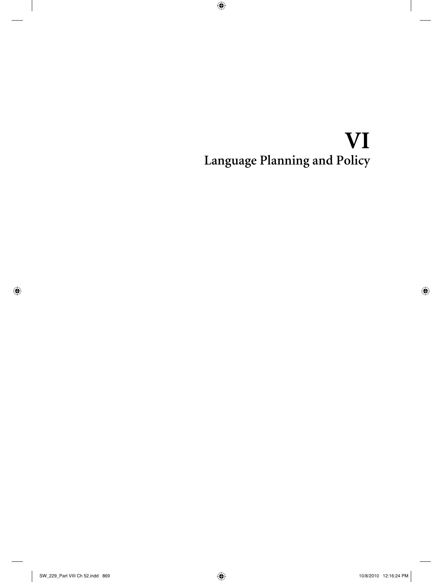$\bigoplus$ 

 $\bigoplus$ 

 $\bigoplus$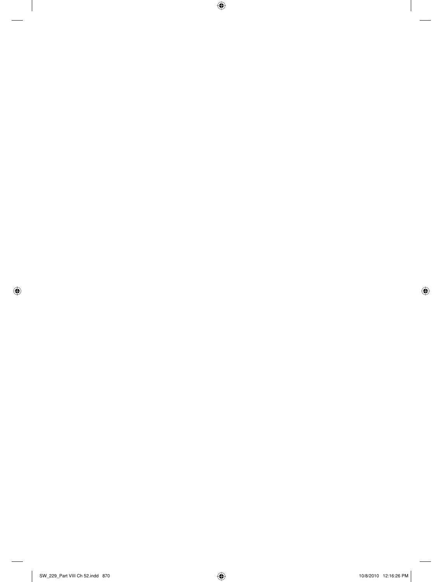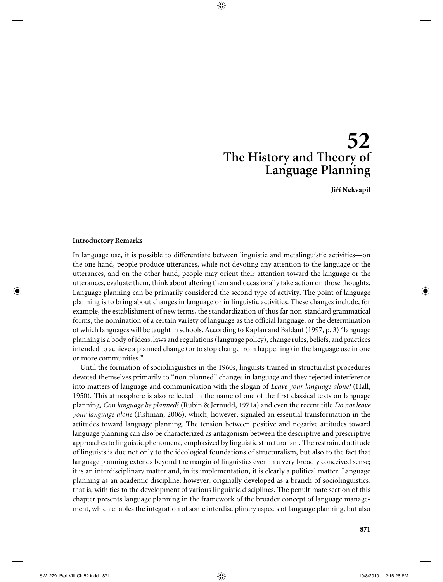**Jirˇí Nekvapil**

#### **Introductory Remarks**

⊕

In language use, it is possible to differentiate between linguistic and metalinguistic activities—on the one hand, people produce utterances, while not devoting any attention to the language or the utterances, and on the other hand, people may orient their attention toward the language or the utterances, evaluate them, think about altering them and occasionally take action on those thoughts. Language planning can be primarily considered the second type of activity. The point of language planning is to bring about changes in language or in linguistic activities. These changes include, for example, the establishment of new terms, the standardization of thus far non-standard grammatical forms, the nomination of a certain variety of language as the official language, or the determination of which languages will be taught in schools. According to Kaplan and Baldauf (1997, p. 3) "language planning is a body of ideas, laws and regulations (language policy), change rules, beliefs, and practices intended to achieve a planned change (or to stop change from happening) in the language use in one or more communities."

 $\textcolor{black}{\textcircled{\ell}}$ 

Until the formation of sociolinguistics in the 1960s, linguists trained in structuralist procedures devoted themselves primarily to "non-planned" changes in language and they rejected interference into matters of language and communication with the slogan of *Leave your language alone!* (Hall, 1950). This atmosphere is also reflected in the name of one of the first classical texts on language planning, *Can language be planned?* (Rubin & Jernudd, 1971a) and even the recent title *Do not leave your language alone* (Fishman, 2006), which, however, signaled an essential transformation in the attitudes toward language planning. The tension between positive and negative attitudes toward language planning can also be characterized as antagonism between the descriptive and prescriptive approaches to linguistic phenomena, emphasized by linguistic structuralism. The restrained attitude of linguists is due not only to the ideological foundations of structuralism, but also to the fact that language planning extends beyond the margin of linguistics even in a very broadly conceived sense; it is an interdisciplinary matter and, in its implementation, it is clearly a political matter. Language planning as an academic discipline, however, originally developed as a branch of sociolinguistics, that is, with ties to the development of various linguistic disciplines. The penultimate section of this chapter presents language planning in the framework of the broader concept of language management, which enables the integration of some interdisciplinary aspects of language planning, but also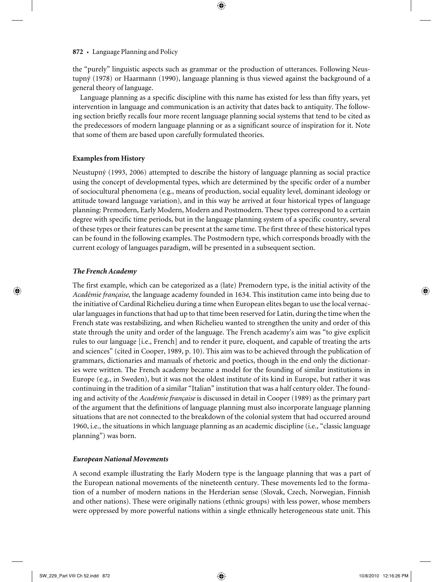the "purely" linguistic aspects such as grammar or the production of utterances. Following Neustupný (1978) or Haarmann (1990), language planning is thus viewed against the background of a general theory of language.

 $\bm{\mathrm{\Theta}}$ 

Language planning as a specific discipline with this name has existed for less than fifty years, yet intervention in language and communication is an activity that dates back to antiquity. The following section briefly recalls four more recent language planning social systems that tend to be cited as the predecessors of modern language planning or as a significant source of inspiration for it. Note that some of them are based upon carefully formulated theories.

#### **Examples from History**

Neustupný (1993, 2006) attempted to describe the history of language planning as social practice using the concept of developmental types, which are determined by the specific order of a number of sociocultural phenomena (e.g., means of production, social equality level, dominant ideology or attitude toward language variation), and in this way he arrived at four historical types of language planning: Premodern, Early Modern, Modern and Postmodern. These types correspond to a certain degree with specific time periods, but in the language planning system of a specific country, several of these types or their features can be present at the same time. The first three of these historical types can be found in the following examples. The Postmodern type, which corresponds broadly with the current ecology of languages paradigm, will be presented in a subsequent section.

#### *The French Academy*

⊕

The first example, which can be categorized as a (late) Premodern type, is the initial activity of the *Académie française*, the language academy founded in 1634. This institution came into being due to the initiative of Cardinal Richelieu during a time when European elites began to use the local vernacular languages in functions that had up to that time been reserved for Latin, during the time when the French state was restabilizing, and when Richelieu wanted to strengthen the unity and order of this state through the unity and order of the language. The French academy's aim was "to give explicit rules to our language [i.e., French] and to render it pure, eloquent, and capable of treating the arts and sciences" (cited in Cooper, 1989, p. 10). This aim was to be achieved through the publication of grammars, dictionaries and manuals of rhetoric and poetics, though in the end only the dictionaries were written. The French academy became a model for the founding of similar institutions in Europe (e.g., in Sweden), but it was not the oldest institute of its kind in Europe, but rather it was continuing in the tradition of a similar "Italian" institution that was a half century older. The founding and activity of the *Académie française* is discussed in detail in Cooper (1989) as the primary part of the argument that the definitions of language planning must also incorporate language planning situations that are not connected to the breakdown of the colonial system that had occurred around 1960, i.e., the situations in which language planning as an academic discipline (i.e., "classic language planning") was born.

#### *European National Movements*

A second example illustrating the Early Modern type is the language planning that was a part of the European national movements of the nineteenth century. These movements led to the formation of a number of modern nations in the Herderian sense (Slovak, Czech, Norwegian, Finnish and other nations). These were originally nations (ethnic groups) with less power, whose members were oppressed by more powerful nations within a single ethnically heterogeneous state unit. This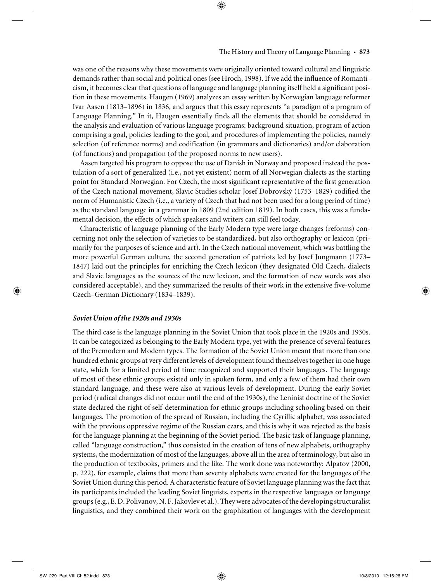was one of the reasons why these movements were originally oriented toward cultural and linguistic demands rather than social and political ones (see Hroch, 1998). If we add the influence of Romanticism, it becomes clear that questions of language and language planning itself held a significant position in these movements. Haugen (1969) analyzes an essay written by Norwegian language reformer Ivar Aasen (1813–1896) in 1836, and argues that this essay represents "a paradigm of a program of Language Planning." In it, Haugen essentially finds all the elements that should be considered in the analysis and evaluation of various language programs: background situation, program of action comprising a goal, policies leading to the goal, and procedures of implementing the policies, namely selection (of reference norms) and codification (in grammars and dictionaries) and/or elaboration (of functions) and propagation (of the proposed norms to new users).

 $\textcolor{black}{\textcircled{\ell}}$ 

Aasen targeted his program to oppose the use of Danish in Norway and proposed instead the postulation of a sort of generalized (i.e., not yet existent) norm of all Norwegian dialects as the starting point for Standard Norwegian. For Czech, the most significant representative of the first generation of the Czech national movement, Slavic Studies scholar Josef Dobrovský (1753–1829) codified the norm of Humanistic Czech (i.e., a variety of Czech that had not been used for a long period of time) as the standard language in a grammar in 1809 (2nd edition 1819). In both cases, this was a fundamental decision, the effects of which speakers and writers can still feel today.

Characteristic of language planning of the Early Modern type were large changes (reforms) concerning not only the selection of varieties to be standardized, but also orthography or lexicon (primarily for the purposes of science and art). In the Czech national movement, which was battling the more powerful German culture, the second generation of patriots led by Josef Jungmann (1773– 1847) laid out the principles for enriching the Czech lexicon (they designated Old Czech, dialects and Slavic languages as the sources of the new lexicon, and the formation of new words was also considered acceptable), and they summarized the results of their work in the extensive five-volume Czech–German Dictionary (1834–1839).

# *Soviet Union of the 1920s and 1930s*

The third case is the language planning in the Soviet Union that took place in the 1920s and 1930s. It can be categorized as belonging to the Early Modern type, yet with the presence of several features of the Premodern and Modern types. The formation of the Soviet Union meant that more than one hundred ethnic groups at very different levels of development found themselves together in one huge state, which for a limited period of time recognized and supported their languages. The language of most of these ethnic groups existed only in spoken form, and only a few of them had their own standard language, and these were also at various levels of development. During the early Soviet period (radical changes did not occur until the end of the 1930s), the Leninist doctrine of the Soviet state declared the right of self-determination for ethnic groups including schooling based on their languages. The promotion of the spread of Russian, including the Cyrillic alphabet, was associated with the previous oppressive regime of the Russian czars, and this is why it was rejected as the basis for the language planning at the beginning of the Soviet period. The basic task of language planning, called "language construction," thus consisted in the creation of tens of new alphabets, orthography systems, the modernization of most of the languages, above all in the area of terminology, but also in the production of textbooks, primers and the like. The work done was noteworthy: Alpatov (2000, p. 222), for example, claims that more than seventy alphabets were created for the languages of the Soviet Union during this period. A characteristic feature of Soviet language planning was the fact that its participants included the leading Soviet linguists, experts in the respective languages or language groups (e.g., E. D. Polivanov, N. F. Jakovlev et al.). They were advocates of the developing structuralist linguistics, and they combined their work on the graphization of languages with the development

⊕

↔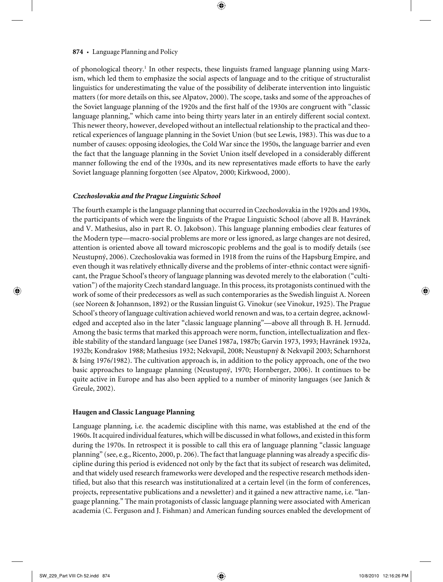of phonological theory.<sup>1</sup> In other respects, these linguists framed language planning using Marxism, which led them to emphasize the social aspects of language and to the critique of structuralist linguistics for underestimating the value of the possibility of deliberate intervention into linguistic matters (for more details on this, see Alpatov, 2000). The scope, tasks and some of the approaches of the Soviet language planning of the 1920s and the first half of the 1930s are congruent with "classic language planning," which came into being thirty years later in an entirely different social context. This newer theory, however, developed without an intellectual relationship to the practical and theoretical experiences of language planning in the Soviet Union (but see Lewis, 1983). This was due to a number of causes: opposing ideologies, the Cold War since the 1950s, the language barrier and even the fact that the language planning in the Soviet Union itself developed in a considerably different manner following the end of the 1930s, and its new representatives made efforts to have the early Soviet language planning forgotten (see Alpatov, 2000; Kirkwood, 2000).

 $\bm{\mathrm{\Theta}}$ 

# *Czechoslovakia and the Prague Linguistic School*

The fourth example is the language planning that occurred in Czechoslovakia in the 1920s and 1930s, the participants of which were the linguists of the Prague Linguistic School (above all B. Havránek and V. Mathesius, also in part R. O. Jakobson). This language planning embodies clear features of the Modern type—macro-social problems are more or less ignored, as large changes are not desired, attention is oriented above all toward microscopic problems and the goal is to modify details (see Neustupný, 2006). Czechoslovakia was formed in 1918 from the ruins of the Hapsburg Empire, and even though it was relatively ethnically diverse and the problems of inter-ethnic contact were significant, the Prague School's theory of language planning was devoted merely to the elaboration ("cultivation") of the majority Czech standard language. In this process, its protagonists continued with the work of some of their predecessors as well as such contemporaries as the Swedish linguist A. Noreen (see Noreen & Johannson, 1892) or the Russian linguist G. Vinokur (see Vinokur, 1925). The Prague School's theory of language cultivation achieved world renown and was, to a certain degree, acknowledged and accepted also in the later "classic language planning"—above all through B. H. Jernudd. Among the basic terms that marked this approach were norm, function, intellectualization and flexible stability of the standard language (see Daneš 1987a, 1987b; Garvin 1973, 1993; Havránek 1932a, 1932b; Kondrašov 1988; Mathesius 1932; Nekvapil, 2008; Neustupný & Nekvapil 2003; Scharnhorst & Ising 1976/1982). The cultivation approach is, in addition to the policy approach, one of the two basic approaches to language planning (Neustupný, 1970; Hornberger, 2006). It continues to be quite active in Europe and has also been applied to a number of minority languages (see Janich & Greule, 2002).

#### **Haugen and Classic Language Planning**

Language planning, i.e. the academic discipline with this name, was established at the end of the 1960s. It acquired individual features, which will be discussed in what follows, and existed in this form during the 1970s. In retrospect it is possible to call this era of language planning "classic language planning" (see, e.g., Ricento, 2000, p. 206). The fact that language planning was already a specific discipline during this period is evidenced not only by the fact that its subject of research was delimited, and that widely used research frameworks were developed and the respective research methods identified, but also that this research was institutionalized at a certain level (in the form of conferences, projects, representative publications and a newsletter) and it gained a new attractive name, i.e. "language planning." The main protagonists of classic language planning were associated with American academia (C. Ferguson and J. Fishman) and American funding sources enabled the development of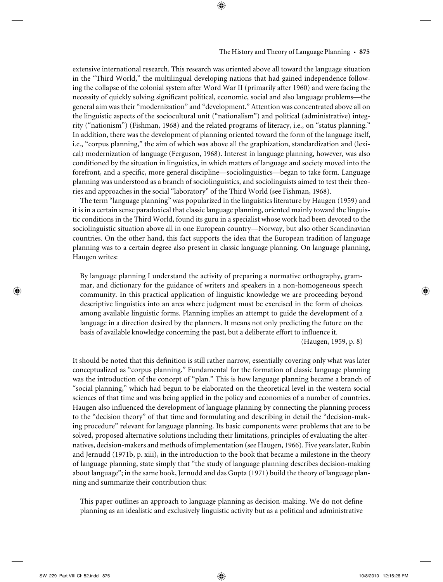extensive international research. This research was oriented above all toward the language situation in the "Third World," the multilingual developing nations that had gained independence following the collapse of the colonial system after Word War II (primarily after 1960) and were facing the necessity of quickly solving significant political, economic, social and also language problems—the general aim was their "modernization" and "development." Attention was concentrated above all on the linguistic aspects of the sociocultural unit ("nationalism") and political (administrative) integrity ("nationism") (Fishman, 1968) and the related programs of literacy, i.e., on "status planning." In addition, there was the development of planning oriented toward the form of the language itself, i.e., "corpus planning," the aim of which was above all the graphization, standardization and (lexical) modernization of language (Ferguson, 1968). Interest in language planning, however, was also conditioned by the situation in linguistics, in which matters of language and society moved into the forefront, and a specific, more general discipline—sociolinguistics—began to take form. Language planning was understood as a branch of sociolinguistics, and sociolinguists aimed to test their theories and approaches in the social "laboratory" of the Third World (see Fishman, 1968).

 $\textcolor{black}{\textcircled{\ell}}$ 

The term "language planning" was popularized in the linguistics literature by Haugen (1959) and it is in a certain sense paradoxical that classic language planning, oriented mainly toward the linguistic conditions in the Third World, found its guru in a specialist whose work had been devoted to the sociolinguistic situation above all in one European country—Norway, but also other Scandinavian countries. On the other hand, this fact supports the idea that the European tradition of language planning was to a certain degree also present in classic language planning. On language planning, Haugen writes:

By language planning I understand the activity of preparing a normative orthography, grammar, and dictionary for the guidance of writers and speakers in a non-homogeneous speech community. In this practical application of linguistic knowledge we are proceeding beyond descriptive linguistics into an area where judgment must be exercised in the form of choices among available linguistic forms. Planning implies an attempt to guide the development of a language in a direction desired by the planners. It means not only predicting the future on the basis of available knowledge concerning the past, but a deliberate effort to influence it.

(Haugen, 1959, p. 8)

It should be noted that this definition is still rather narrow, essentially covering only what was later conceptualized as "corpus planning." Fundamental for the formation of classic language planning was the introduction of the concept of "plan." This is how language planning became a branch of "social planning," which had begun to be elaborated on the theoretical level in the western social sciences of that time and was being applied in the policy and economies of a number of countries. Haugen also influenced the development of language planning by connecting the planning process to the "decision theory" of that time and formulating and describing in detail the "decision-making procedure" relevant for language planning. Its basic components were: problems that are to be solved, proposed alternative solutions including their limitations, principles of evaluating the alternatives, decision-makers and methods of implementation (see Haugen, 1966). Five years later, Rubin and Jernudd (1971b, p. xiii), in the introduction to the book that became a milestone in the theory of language planning, state simply that "the study of language planning describes decision-making about language"; in the same book, Jernudd and das Gupta (1971) build the theory of language planning and summarize their contribution thus:

This paper outlines an approach to language planning as decision-making. We do not define planning as an idealistic and exclusively linguistic activity but as a political and administrative

 $\bigotimes$  SW\_229\_Part VIII Ch 52.indd 875 10/8/2010 12:16:26 PM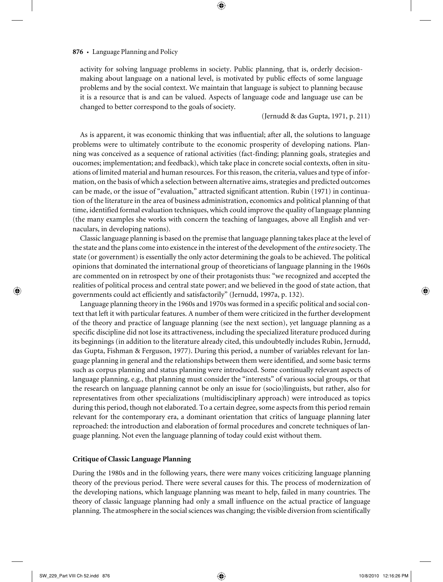activity for solving language problems in society. Public planning, that is, orderly decisionmaking about language on a national level, is motivated by public effects of some language problems and by the social context. We maintain that language is subject to planning because it is a resource that is and can be valued. Aspects of language code and language use can be changed to better correspond to the goals of society.

⊕

#### (Jernudd & das Gupta, 1971, p. 211)

As is apparent, it was economic thinking that was influential; after all, the solutions to language problems were to ultimately contribute to the economic prosperity of developing nations. Planning was conceived as a sequence of rational activities (fact-finding; planning goals, strategies and oucomes; implementation; and feedback), which take place in concrete social contexts, often in situations of limited material and human resources. For this reason, the criteria, values and type of information, on the basis of which a selection between alternative aims, strategies and predicted outcomes can be made, or the issue of "evaluation," attracted significant attention. Rubin (1971) in continuation of the literature in the area of business administration, economics and political planning of that time, identified formal evaluation techniques, which could improve the quality of language planning (the many examples she works with concern the teaching of languages, above all English and vernaculars, in developing nations).

Classic language planning is based on the premise that language planning takes place at the level of the state and the plans come into existence in the interest of the development of the *entire* society. The state (or government) is essentially the only actor determining the goals to be achieved. The political opinions that dominated the international group of theoreticians of language planning in the 1960s are commented on in retrospect by one of their protagonists thus: "we recognized and accepted the realities of political process and central state power; and we believed in the good of state action, that governments could act efficiently and satisfactorily" (Jernudd, 1997a, p. 132).

Language planning theory in the 1960s and 1970s was formed in a specific political and social context that left it with particular features. A number of them were criticized in the further development of the theory and practice of language planning (see the next section), yet language planning as a specific discipline did not lose its attractiveness, including the specialized literature produced during its beginnings (in addition to the literature already cited, this undoubtedly includes Rubin, Jernudd, das Gupta, Fishman & Ferguson, 1977). During this period, a number of variables relevant for language planning in general and the relationships between them were identified, and some basic terms such as corpus planning and status planning were introduced. Some continually relevant aspects of language planning, e.g., that planning must consider the "interests" of various social groups, or that the research on language planning cannot be only an issue for (socio)linguists, but rather, also for representatives from other specializations (multidisciplinary approach) were introduced as topics during this period, though not elaborated. To a certain degree, some aspects from this period remain relevant for the contemporary era, a dominant orientation that critics of language planning later reproached: the introduction and elaboration of formal procedures and concrete techniques of language planning. Not even the language planning of today could exist without them.

# **Critique of Classic Language Planning**

During the 1980s and in the following years, there were many voices criticizing language planning theory of the previous period. There were several causes for this. The process of modernization of the developing nations, which language planning was meant to help, failed in many countries. The theory of classic language planning had only a small influence on the actual practice of language planning. The atmosphere in the social sciences was changing; the visible diversion from scientifically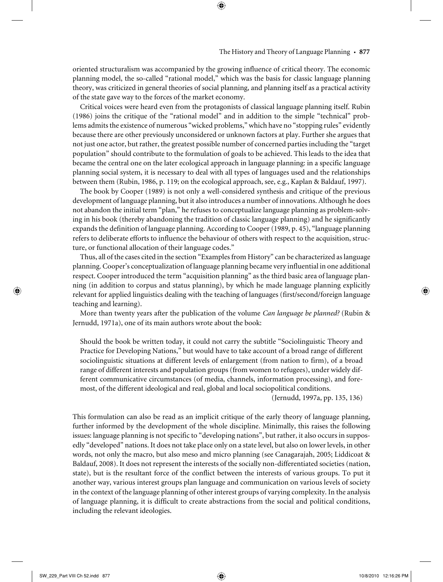oriented structuralism was accompanied by the growing influence of critical theory. The economic planning model, the so-called "rational model," which was the basis for classic language planning theory, was criticized in general theories of social planning, and planning itself as a practical activity of the state gave way to the forces of the market economy.

 $\textcolor{black}{\textcircled{\ell}}$ 

Critical voices were heard even from the protagonists of classical language planning itself. Rubin (1986) joins the critique of the "rational model" and in addition to the simple "technical" problems admits the existence of numerous "wicked problems," which have no "stopping rules" evidently because there are other previously unconsidered or unknown factors at play. Further she argues that not just one actor, but rather, the greatest possible number of concerned parties including the "target population" should contribute to the formulation of goals to be achieved. This leads to the idea that became the central one on the later ecological approach in language planning: in a specific language planning social system, it is necessary to deal with all types of languages used and the relationships between them (Rubin, 1986, p. 119; on the ecological approach, see, e.g., Kaplan & Baldauf, 1997).

The book by Cooper (1989) is not only a well-considered synthesis and critique of the previous development of language planning, but it also introduces a number of innovations. Although he does not abandon the initial term "plan," he refuses to conceptualize language planning as problem-solving in his book (thereby abandoning the tradition of classic language planning) and he significantly expands the definition of language planning. According to Cooper (1989, p. 45), "language planning refers to deliberate efforts to influence the behaviour of others with respect to the acquisition, structure, or functional allocation of their language codes."

Thus, all of the cases cited in the section "Examples from History" can be characterized as language planning. Cooper's conceptualization of language planning became very influential in one additional respect. Cooper introduced the term "acquisition planning" as the third basic area of language planning (in addition to corpus and status planning), by which he made language planning explicitly relevant for applied linguistics dealing with the teaching of languages (first/second/foreign language teaching and learning).

More than twenty years after the publication of the volume *Can language be planned?* (Rubin & Jernudd, 1971a), one of its main authors wrote about the book:

Should the book be written today, it could not carry the subtitle "Sociolinguistic Theory and Practice for Developing Nations," but would have to take account of a broad range of different sociolinguistic situations at different levels of enlargement (from nation to firm), of a broad range of different interests and population groups (from women to refugees), under widely different communicative circumstances (of media, channels, information processing), and foremost, of the different ideological and real, global and local sociopolitical conditions.

(Jernudd, 1997a, pp. 135, 136)

This formulation can also be read as an implicit critique of the early theory of language planning, further informed by the development of the whole discipline. Minimally, this raises the following issues: language planning is not specific to "developing nations", but rather, it also occurs in supposedly "developed" nations. It does not take place only on a state level, but also on lower levels, in other words, not only the macro, but also meso and micro planning (see Canagarajah, 2005; Liddicoat & Baldauf, 2008). It does not represent the interests of the socially non-differentiated societies (nation, state), but is the resultant force of the conflict between the interests of various groups. To put it another way, various interest groups plan language and communication on various levels of society in the context of the language planning of other interest groups of varying complexity. In the analysis of language planning, it is difficult to create abstractions from the social and political conditions, including the relevant ideologies.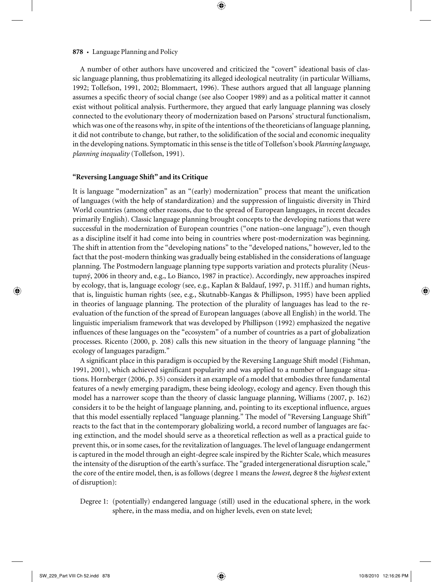A number of other authors have uncovered and criticized the "covert" ideational basis of classic language planning, thus problematizing its alleged ideological neutrality (in particular Williams, 1992; Tollefson, 1991, 2002; Blommaert, 1996). These authors argued that all language planning assumes a specific theory of social change (see also Cooper 1989) and as a political matter it cannot exist without political analysis. Furthermore, they argued that early language planning was closely connected to the evolutionary theory of modernization based on Parsons' structural functionalism, which was one of the reasons why, in spite of the intentions of the theoreticians of language planning, it did not contribute to change, but rather, to the solidification of the social and economic inequality in the developing nations. Symptomatic in this sense is the title of Tollefson's book *Planning language, planning inequality* (Tollefson, 1991).

 $\bm{\mathrm{\Theta}}$ 

# **"Reversing Language Shift" and its Critique**

It is language "modernization" as an "(early) modernization" process that meant the unification of languages (with the help of standardization) and the suppression of linguistic diversity in Third World countries (among other reasons, due to the spread of European languages, in recent decades primarily English). Classic language planning brought concepts to the developing nations that were successful in the modernization of European countries ("one nation–one language"), even though as a discipline itself it had come into being in countries where post-modernization was beginning. The shift in attention from the "developing nations" to the "developed nations," however, led to the fact that the post-modern thinking was gradually being established in the considerations of language planning. The Postmodern language planning type supports variation and protects plurality (Neustupný, 2006 in theory and, e.g., Lo Bianco, 1987 in practice). Accordingly, new approaches inspired by ecology, that is, language ecology (see, e.g., Kaplan & Baldauf, 1997, p. 311ff.) and human rights, that is, linguistic human rights (see, e.g., Skutnabb-Kangas & Phillipson, 1995) have been applied in theories of language planning. The protection of the plurality of languages has lead to the reevaluation of the function of the spread of European languages (above all English) in the world. The linguistic imperialism framework that was developed by Phillipson (1992) emphasized the negative influences of these languages on the "ecosystem" of a number of countries as a part of globalization processes. Ricento (2000, p. 208) calls this new situation in the theory of language planning "the ecology of languages paradigm."

A significant place in this paradigm is occupied by the Reversing Language Shift model (Fishman, 1991, 2001), which achieved significant popularity and was applied to a number of language situations. Hornberger (2006, p. 35) considers it an example of a model that embodies three fundamental features of a newly emerging paradigm, these being ideology, ecology and agency. Even though this model has a narrower scope than the theory of classic language planning, Williams (2007, p. 162) considers it to be the height of language planning, and, pointing to its exceptional influence, argues that this model essentially replaced "language planning." The model of "Reversing Language Shift" reacts to the fact that in the contemporary globalizing world, a record number of languages are facing extinction, and the model should serve as a theoretical reflection as well as a practical guide to prevent this, or in some cases, for the revitalization of languages. The level of language endangerment is captured in the model through an eight-degree scale inspired by the Richter Scale, which measures the intensity of the disruption of the earth's surface. The "graded intergenerational disruption scale," the core of the entire model, then, is as follows (degree 1 means the *lowest*, degree 8 the *highest* extent of disruption):

Degree 1: (potentially) endangered language (still) used in the educational sphere, in the work sphere, in the mass media, and on higher levels, even on state level;

 $\bigoplus$  SW\_229\_Part VIII Ch 52.indd 878 10/8/2010 12:16:26 PM 0/8/2010 12:16:26 PM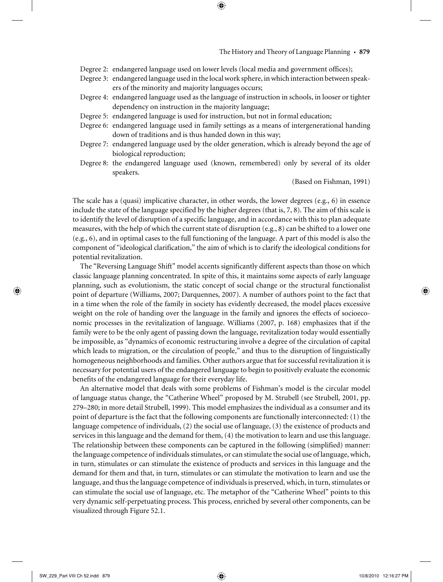Degree 2: endangered language used on lower levels (local media and government offices);

 $\textcolor{black}{\textcircled{\ell}}$ 

- Degree 3: endangered language used in the local work sphere, in which interaction between speakers of the minority and majority languages occurs;
- Degree 4: endangered language used as the language of instruction in schools, in looser or tighter dependency on instruction in the majority language;
- Degree 5: endangered language is used for instruction, but not in formal education;
- Degree 6: endangered language used in family settings as a means of intergenerational handing down of traditions and is thus handed down in this way;
- Degree 7: endangered language used by the older generation, which is already beyond the age of biological reproduction;
- Degree 8: the endangered language used (known, remembered) only by several of its older speakers.

(Based on Fishman, 1991)

The scale has a (quasi) implicative character, in other words, the lower degrees (e.g., 6) in essence include the state of the language specified by the higher degrees (that is, 7, 8). The aim of this scale is to identify the level of disruption of a specific language, and in accordance with this to plan adequate measures, with the help of which the current state of disruption (e.g., 8) can be shifted to a lower one (e.g., 6), and in optimal cases to the full functioning of the language. A part of this model is also the component of "ideological clarification," the aim of which is to clarify the ideological conditions for potential revitalization.

The "Reversing Language Shift" model accents significantly different aspects than those on which classic language planning concentrated. In spite of this, it maintains some aspects of early language planning, such as evolutionism, the static concept of social change or the structural functionalist point of departure (Williams, 2007; Darquennes, 2007). A number of authors point to the fact that in a time when the role of the family in society has evidently decreased, the model places excessive weight on the role of handing over the language in the family and ignores the effects of socioeconomic processes in the revitalization of language. Williams (2007, p. 168) emphasizes that if the family were to be the only agent of passing down the language, revitalization today would essentially be impossible, as "dynamics of economic restructuring involve a degree of the circulation of capital which leads to migration, or the circulation of people," and thus to the disruption of linguistically homogeneous neighborhoods and families. Other authors argue that for successful revitalization it is necessary for potential users of the endangered language to begin to positively evaluate the economic benefits of the endangered language for their everyday life.

An alternative model that deals with some problems of Fishman's model is the circular model of language status change, the "Catherine Wheel" proposed by M. Strubell (see Strubell, 2001, pp. 279–280; in more detail Strubell, 1999). This model emphasizes the individual as a consumer and its point of departure is the fact that the following components are functionally interconnected: (1) the language competence of individuals, (2) the social use of language, (3) the existence of products and services in this language and the demand for them, (4) the motivation to learn and use this language. The relationship between these components can be captured in the following (simplified) manner: the language competence of individuals stimulates, or can stimulate the social use of language, which, in turn, stimulates or can stimulate the existence of products and services in this language and the demand for them and that, in turn, stimulates or can stimulate the motivation to learn and use the language, and thus the language competence of individuals is preserved, which, in turn, stimulates or can stimulate the social use of language, etc. The metaphor of the "Catherine Wheel" points to this very dynamic self-perpetuating process. This process, enriched by several other components, can be visualized through Figure 52.1.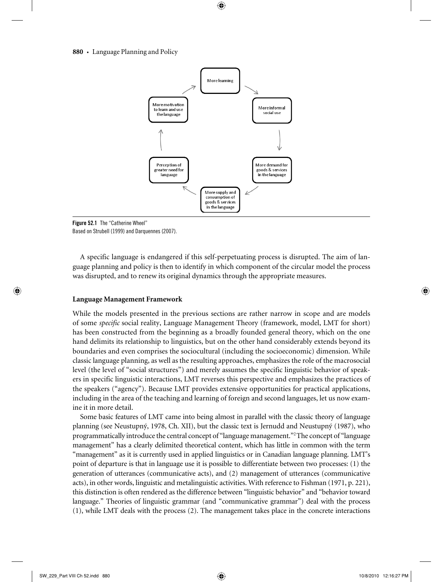

 $\bigcirc$ 

**Figure 52.1** The "Catherine Wheel" Based on Strubell (1999) and Darquennes (2007).

A specific language is endangered if this self-perpetuating process is disrupted. The aim of language planning and policy is then to identify in which component of the circular model the process was disrupted, and to renew its original dynamics through the appropriate measures.

#### **Language Management Framework**

⊕

While the models presented in the previous sections are rather narrow in scope and are models of some *specific* social reality, Language Management Theory (framework, model, LMT for short) has been constructed from the beginning as a broadly founded general theory, which on the one hand delimits its relationship to linguistics, but on the other hand considerably extends beyond its boundaries and even comprises the sociocultural (including the socioeconomic) dimension. While classic language planning, as well as the resulting approaches, emphasizes the role of the macrosocial level (the level of "social structures") and merely assumes the specific linguistic behavior of speakers in specific linguistic interactions, LMT reverses this perspective and emphasizes the practices of the speakers ("agency"). Because LMT provides extensive opportunities for practical applications, including in the area of the teaching and learning of foreign and second languages, let us now examine it in more detail.

Some basic features of LMT came into being almost in parallel with the classic theory of language planning (see Neustupný, 1978, Ch. XII), but the classic text is Jernudd and Neustupný (1987), who programmatically introduce the central concept of "language management."2 The concept of "language management" has a clearly delimited theoretical content, which has little in common with the term "management" as it is currently used in applied linguistics or in Canadian language planning. LMT's point of departure is that in language use it is possible to differentiate between two processes: (1) the generation of utterances (communicative acts), and (2) management of utterances (communicative acts), in other words, linguistic and metalinguistic activities. With reference to Fishman (1971, p. 221), this distinction is often rendered as the difference between "linguistic behavior" and "behavior toward language." Theories of linguistic grammar (and "communicative grammar") deal with the process (1), while LMT deals with the process (2). The management takes place in the concrete interactions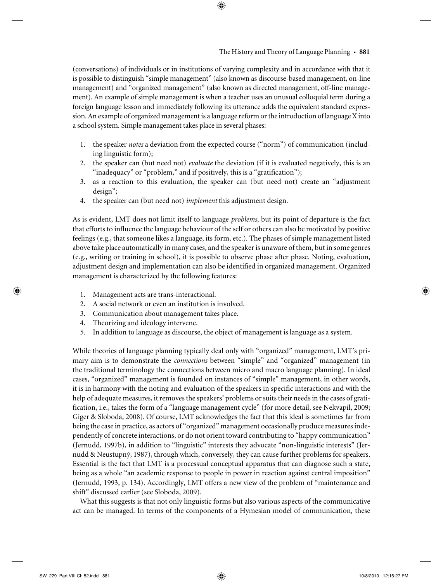(conversations) of individuals or in institutions of varying complexity and in accordance with that it is possible to distinguish "simple management" (also known as discourse-based management, on-line management) and "organized management" (also known as directed management, off-line management). An example of simple management is when a teacher uses an unusual colloquial term during a foreign language lesson and immediately following its utterance adds the equivalent standard expression. An example of organized management is a language reform or the introduction of language X into a school system. Simple management takes place in several phases:

 $\textcolor{black}{\textcircled{\ell}}$ 

- 1. the speaker *notes* a deviation from the expected course ("norm") of communication (including linguistic form);
- 2. the speaker can (but need not) *evaluate* the deviation (if it is evaluated negatively, this is an "inadequacy" or "problem," and if positively, this is a "gratification");
- 3. as a reaction to this evaluation, the speaker can (but need not) create an "adjustment design";
- 4. the speaker can (but need not) *implement* this adjustment design.

As is evident, LMT does not limit itself to language *problems*, but its point of departure is the fact that efforts to influence the language behaviour of the self or others can also be motivated by positive feelings (e.g., that someone likes a language, its form, etc.). The phases of simple management listed above take place automatically in many cases, and the speaker is unaware of them, but in some genres (e.g., writing or training in school), it is possible to observe phase after phase. Noting, evaluation, adjustment design and implementation can also be identified in organized management. Organized management is characterized by the following features:

- 1. Management acts are trans-interactional.
- 2. A social network or even an institution is involved.
- 3. Communication about management takes place.
- 4. Theorizing and ideology intervene.
- 5. In addition to language as discourse, the object of management is language as a system.

While theories of language planning typically deal only with "organized" management, LMT's primary aim is to demonstrate the *connections* between "simple" and "organized" management (in the traditional terminology the connections between micro and macro language planning). In ideal cases, "organized" management is founded on instances of "simple" management, in other words, it is in harmony with the noting and evaluation of the speakers in specific interactions and with the help of adequate measures, it removes the speakers' problems or suits their needs in the cases of gratification, i.e., takes the form of a "language management cycle" (for more detail, see Nekvapil, 2009; Giger & Sloboda, 2008). Of course, LMT acknowledges the fact that this ideal is sometimes far from being the case in practice, as actors of "organized" management occasionally produce measures independently of concrete interactions, or do not orient toward contributing to "happy communication" (Jernudd, 1997b), in addition to "linguistic" interests they advocate "non-linguistic interests" (Jernudd & Neustupný, 1987), through which, conversely, they can cause further problems for speakers. Essential is the fact that LMT is a processual conceptual apparatus that can diagnose such a state, being as a whole "an academic response to people in power in reaction against central imposition" (Jernudd, 1993, p. 134). Accordingly, LMT offers a new view of the problem of "maintenance and shift" discussed earlier (see Sloboda, 2009).

What this suggests is that not only linguistic forms but also various aspects of the communicative act can be managed. In terms of the components of a Hymesian model of communication, these

 $\bigoplus$  SW\_229\_Part VIII Ch 52.indd 881 10/8/2010 12:16:27 PM 0/8/2010 12:16:27 PM

⊕

↔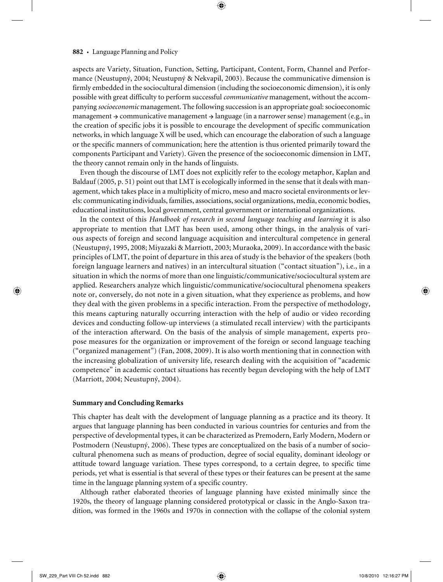aspects are Variety, Situation, Function, Setting, Participant, Content, Form, Channel and Performance (Neustupný, 2004; Neustupný & Nekvapil, 2003). Because the communicative dimension is firmly embedded in the sociocultural dimension (including the socioeconomic dimension), it is only possible with great difficulty to perform successful *communicative* management, without the accompanying *socioeconomic* management. The following succession is an appropriate goal: socioeconomic management  $\rightarrow$  communicative management  $\rightarrow$  language (in a narrower sense) management (e.g., in the creation of specific jobs it is possible to encourage the development of specific communication networks, in which language X will be used, which can encourage the elaboration of such a language or the specific manners of communication; here the attention is thus oriented primarily toward the components Participant and Variety). Given the presence of the socioeconomic dimension in LMT, the theory cannot remain only in the hands of linguists.

 $\bm{\mathrm{\Theta}}$ 

Even though the discourse of LMT does not explicitly refer to the ecology metaphor, Kaplan and Baldauf (2005, p. 51) point out that LMT is ecologically informed in the sense that it deals with management, which takes place in a multiplicity of micro, meso and macro societal environments or levels: communicating individuals, families, associations, social organizations, media, economic bodies, educational institutions, local government, central government or international organizations.

In the context of this *Handbook of research in second language teaching and learning* it is also appropriate to mention that LMT has been used, among other things, in the analysis of various aspects of foreign and second language acquisition and intercultural competence in general (Neustupný, 1995, 2008; Miyazaki & Marriott, 2003; Muraoka, 2009). In accordance with the basic principles of LMT, the point of departure in this area of study is the behavior of the speakers (both foreign language learners and natives) in an intercultural situation ("contact situation"), i.e., in a situation in which the norms of more than one linguistic/communicative/sociocultural system are applied. Researchers analyze which linguistic/communicative/sociocultural phenomena speakers note or, conversely, do not note in a given situation, what they experience as problems, and how they deal with the given problems in a specific interaction. From the perspective of methodology, this means capturing naturally occurring interaction with the help of audio or video recording devices and conducting follow-up interviews (a stimulated recall interview) with the participants of the interaction afterward. On the basis of the analysis of simple management, experts propose measures for the organization or improvement of the foreign or second language teaching ("organized management") (Fan, 2008, 2009). It is also worth mentioning that in connection with the increasing globalization of university life, research dealing with the acquisition of "academic competence" in academic contact situations has recently begun developing with the help of LMT (Marriott, 2004; Neustupný, 2004).

#### **Summary and Concluding Remarks**

This chapter has dealt with the development of language planning as a practice and its theory. It argues that language planning has been conducted in various countries for centuries and from the perspective of developmental types, it can be characterized as Premodern, Early Modern, Modern or Postmodern (Neustupný, 2006). These types are conceptualized on the basis of a number of sociocultural phenomena such as means of production, degree of social equality, dominant ideology or attitude toward language variation. These types correspond, to a certain degree, to specific time periods, yet what is essential is that several of these types or their features can be present at the same time in the language planning system of a specific country.

Although rather elaborated theories of language planning have existed minimally since the 1920s, the theory of language planning considered prototypical or classic in the Anglo-Saxon tradition, was formed in the 1960s and 1970s in connection with the collapse of the colonial system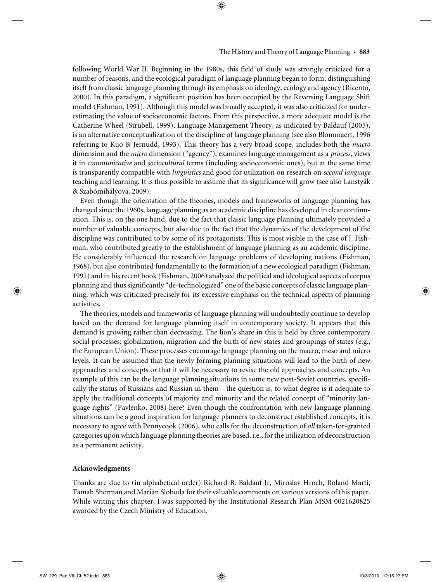following World War II. Beginning in the 1980s, this field of study was strongly criticized for a number of reasons, and the ecological paradigm of language planning began to form, distinguishing itself from classic language planning through its emphasis on ideology, ecology and agency (Ricento, 2000). In this paradigm, a significant position has been occupied by the Reversing Language Shift model (Fishman, 1991). Although this model was broadly accepted, it was also criticized for underestimating the value of socioeconomic factors. From this perspective, a more adequate model is the Catherine Wheel (Strubell, 1999). Language Management Theory, as indicated by Baldauf (2005), is an alternative conceptualization of the discipline of language planning (see also Blommaert, 1996 referring to Kuo & Jernudd, 1993). This theory has a very broad scope, includes both the *macro* dimension and the *micro* dimension ("agency"), examines language management as a *process*, views it in *communicative* and *sociocultural* terms (including socioeconomic ones), but at the same time is transparently compatible with *linguistics* and good for utilization on research on *second language* teaching and learning. It is thus possible to assume that its significance will grow (see also Lanstyák & Szabómihályová, 2009).

 $\textcolor{black}{\textcircled{\ell}}$ 

Even though the orientation of the theories, models and frameworks of language planning has changed since the 1960s, language planning as an academic discipline has developed in clear continuation. This is, on the one hand, due to the fact that classic language planning ultimately provided a number of valuable concepts, but also due to the fact that the dynamics of the development of the discipline was contributed to by some of its protagonists. This is most visible in the case of J. Fishman, who contributed greatly to the establishment of language planning as an academic discipline. He considerably influenced the research on language problems of developing nations (Fishman, 1968), but also contributed fundamentally to the formation of a new ecological paradigm (Fishman, 1991) and in his recent book (Fishman, 2006) analyzed the political and ideological aspects of corpus planning and thus significantly "de-technologized" one of the basic concepts of classic language planning, which was criticized precisely for its excessive emphasis on the technical aspects of planning activities.

The theories, models and frameworks of language planning will undoubtedly continue to develop based on the demand for language planning itself in contemporary society. It appears that this demand is growing rather than decreasing. The lion's share in this is held by three contemporary social processes: globalization, migration and the birth of new states and groupings of states (e.g., the European Union). These processes encourage language planning on the macro, meso and micro levels. It can be assumed that the newly forming planning situations will lead to the birth of new approaches and concepts or that it will be necessary to revise the old approaches and concepts. An example of this can be the language planning situations in some new post-Soviet countries, specifically the status of Russians and Russian in them—the question is, to what degree is it adequate to apply the traditional concepts of majority and minority and the related concept of "minority language rights" (Pavlenko, 2008) here? Even though the confrontation with new language planning situations can be a good inspiration for language planners to deconstruct established concepts, it is necessary to agree with Pennycook (2006), who calls for the deconstruction of *all* taken-for-granted categories upon which language planning theories are based, i.e., for the utilization of deconstruction as a permanent activity.

#### **Acknowledgments**

Thanks are due to (in alphabetical order) Richard B. Baldauf Jr, Miroslav Hroch, Roland Marti, Tamah Sherman and Marián Sloboda for their valuable comments on various versions of this paper. While writing this chapter, I was supported by the Institutional Research Plan MSM 0021620825 awarded by the Czech Ministry of Education.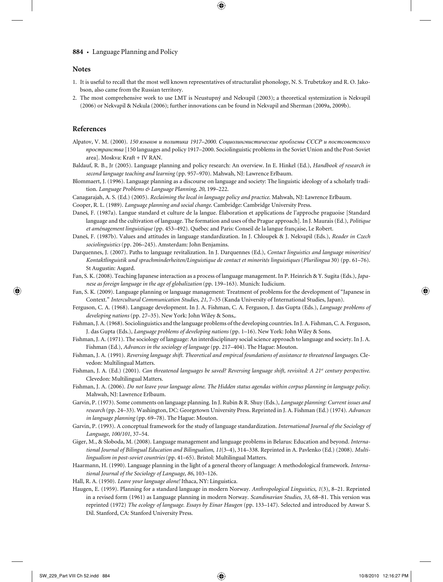# **Notes**

- 1. It is useful to recall that the most well known representatives of structuralist phonology, N. S. Trubetzkoy and R. O. Jakobson, also came from the Russian territory.
- 2. The most comprehensive work to use LMT is Neustupný and Nekvapil (2003); a theoretical systemization is Nekvapil (2006) or Nekvapil & Nekula (2006); further innovations can be found in Nekvapil and Sherman (2009a, 2009b).

#### **References**

- Alpatov, V. M. (2000). *150 языков и политика 1917–2000. Социолингвистические проблемы СССР и постсоветского пространства* [150 languages and policy 1917–2000. Sociolinguistic problems in the Soviet Union and the Post-Soviet area]. Moskva: Kraft + IV RAN.
- Baldauf, R. B., Jr (2005). Language planning and policy research: An overview. In E. Hinkel (Ed.), *Handbook of research in second language teaching and learning* (pp. 957–970). Mahwah, NJ: Lawrence Erlbaum.
- Blommaert, J. (1996). Language planning as a discourse on language and society: The linguistic ideology of a scholarly tradition. *Language Problems & Language Planning*, *20*, 199–222.

Canagarajah, A. S. (Ed.) (2005). *Reclaiming the local in language policy and practice*. Mahwah, NJ: Lawrence Erlbaum.

Cooper, R. L. (1989). *Language planning and social change*. Cambridge: Cambridge University Press.

- Daneš, F. (1987a). Langue standard et culture de la langue. Élaboration et applications de l'approche praguoise [Standard language and the cultivation of language. The formation and uses of the Prague approach]. In J. Maurais (Ed.), *Politique et aménagement linguistique* (pp. 453–492). Québec and Paris: Conseil de la langue française, Le Robert.
- Daneš, F. (1987b). Values and attitudes in language standardization. In J. Chloupek & J. Nekvapil (Eds.), *Reader in Czech sociolinguistics* (pp. 206–245). Amsterdam: John Benjamins.
- Darquennes, J. (2007). Paths to language revitalization. In J. Darquennes (Ed.), *Contact linguistics and language minorities/ Kontaktlinguistik und sprachminderheiten/Linguistique de contact et minorités linguistiques* (*Plurilingua* 30) (pp. 61–76). St Augustin: Asgard.
- Fan, S. K. (2008). Teaching Japanese interaction as a process of language management. In P. Heinrich & Y. Sugita (Eds.), *Japanese as foreign language in the age of globalization* (pp. 139–163). Munich: Iudicium.
- Fan, S. K. (2009). Language planning or language management: Treatment of problems for the development of "Japanese in Context." *Intercultural Communication Studies*, *21*, 7–35 (Kanda University of International Studies, Japan).
- Ferguson, C. A. (1968). Language development. In J. A. Fishman, C. A. Ferguson, J. das Gupta (Eds.), *Language problems of developing nations* (pp. 27–35). New York: John Wiley & Sons,.
- Fishman, J. A. (1968). Sociolinguistics and the language problems of the developing countries. In J. A. Fishman, C. A. Ferguson, J. das Gupta (Eds.), *Language problems of developing nations* (pp. 1–16). New York: John Wiley & Sons.
- Fishman, J. A. (1971). The sociology of language: An interdisciplinary social science approach to language and society. In J. A. Fishman (Ed.), *Advances in the sociology of language* (pp. 217–404). The Hague: Mouton.
- Fishman, J. A. (1991). *Reversing language shift. Theoretical and empircal foundations of assistance to threatened languages*. Clevedon: Multilingual Matters.
- Fishman, J. A. (Ed.) (2001). *Can threatened languages be saved? Reversing language shift, revisited: A 21<sup>st</sup> century perspective.* Clevedon: Multilingual Matters.
- Fishman, J. A. (2006). *Do not leave your language alone*. *The Hidden status agendas within corpus planning in language policy*. Mahwah, NJ: Lawrence Erlbaum.
- Garvin, P. (1973). Some comments on language planning. In J. Rubin & R. Shuy (Eds.), *Language planning: Current issues and research* (pp. 24–33). Washington, DC: Georgetown University Press. Reprinted in J. A. Fishman (Ed.) (1974). *Advances in language planning* (pp. 69–78). The Hague: Mouton.
- Garvin, P. (1993). A conceptual framework for the study of language standardization. *International Journal of the Sociology of Language*, *100/101*, 37–54.
- Giger, M., & Sloboda, M. (2008). Language management and language problems in Belarus: Education and beyond. *International Journal of Bilingual Education and Bilingualism*, *11*(3–4), 314–338. Reprinted in A. Pavlenko (Ed.) (2008). *Multilingualism in post-soviet countries* (pp. 41–65). Bristol: Multilingual Matters.
- Haarmann, H. (1990). Language planning in the light of a general theory of language: A methodological framework. *International Journal of the Sociology of Language*, *86*, 103–126.

Hall, R. A. (1950). *Leave your language alone!* Ithaca, NY: Linguistica.

Haugen, E. (1959). Planning for a standard language in modern Norway. *Anthropological Linguistics*, *1*(3), 8–21. Reprinted in a revised form (1961) as Language planning in modern Norway. *Scandinavian Studies*, *33*, 68–81. This version was reprinted (1972) *The ecology of language. Essays by Einar Haugen* (pp. 133–147). Selected and introduced by Anwar S. Dil. Stanford, CA: Stanford University Press.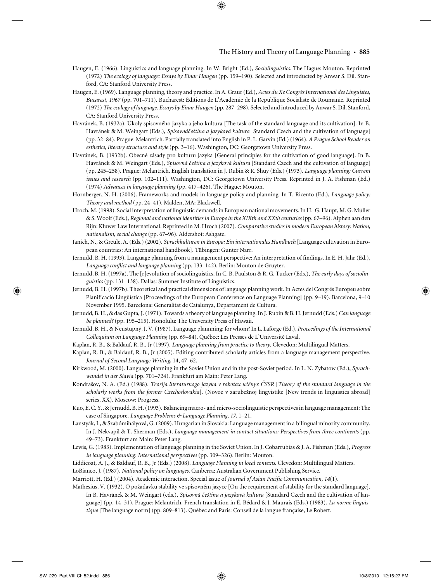Haugen, E. (1966). Linguistics and language planning. In W. Bright (Ed.), *Sociolinguistics*. The Hague: Mouton. Reprinted (1972) *The ecology of language: Essays by Einar Haugen* (pp. 159–190). Selected and introducted by Anwar S. Dil. Stanford, CA: Stanford University Press.

- Haugen, E. (1969). Language planning, theory and practice. In A. Graur (Ed.), *Actes du Xe Congrès International des Linguistes, Bucarest, 1967* (pp. 701–711). Bucharest: Éditions de L'Académie de la Republique Socialiste de Roumanie. Reprinted (1972) *The ecology of language. Essays by Einar Haugen* (pp. 287–298). Selected and introduced by Anwar S. Dil. Stanford, CA: Stanford University Press.
- Havránek, B. (1932a). Úkoly spisovného jazyka a jeho kultura [The task of the standard language and its cultivation]. In B. Havránek & M. Weingart (Eds.), Spisovnáčeština a jazyková kultura [Standard Czech and the cultivation of language] (pp. 32–84). Prague: Melantrich. Partially translated into English in P. L. Garvin (Ed.) (1964). *A Prague School Reader on esthetics, literary structure and style* (pp. 3–16). Washington, DC: Georgetown University Press.
- Havránek, B. (1932b). Obecné zásady pro kulturu jazyka [General principles for the cultivation of good language]. In B. Havránek & M. Weingart (Eds.), *Spisovná čeština a jazyková kultura* [Standard Czech and the cultivation of language] (pp. 245–258). Prague: Melantrich. English translation in J. Rubin & R. Shuy (Eds.) (1973). *Language planning: Current issues and research* (pp. 102–111). Washington, DC: Georgetown University Press. Reprinted in J. A. Fishman (Ed.) (1974) *Advances in language planning* (pp. 417–426). The Hague: Mouton.
- Hornberger, N. H. (2006). Frameworks and models in language policy and planning. In T. Ricento (Ed.), *Language policy: Theory and method* (pp. 24–41). Malden, MA: Blackwell.
- Hroch, M. (1998). Social interpretation of linguistic demands in European national movements. In H.-G. Haupt, M. G. Müller & S. Woolf (Eds.), *Regional and national identities in Europe in the XIXth and XXth centuries* (pp. 67-96). Alphen aan den Rijn: Kluwer Law International. Reprinted in M. Hroch (2007). *Comparative studies in modern European history: Nation, nationalism, social change* (pp. 67–96). Aldershot: Ashgate.
- Janich, N., & Greule, A. (Eds.) (2002). *Sprachkulturen in Europa: Ein internationales Handbuch* [Language cultivation in European countries: An international handbook]. Tübingen: Gunter Narr.
- Jernudd, B. H. (1993). Language planning from a management perspective: An interpretation of findings. In E. H. Jahr (Ed.), *Language conflict and language planning* (pp. 133–142). Berlin: Mouton de Gruyter.
- Jernudd, B. H. (1997a). The [r]evolution of sociolinguistics. In C. B. Paulston & R. G. Tucker (Eds.), *The early days of sociolinguistics* (pp. 131–138). Dallas: Summer Institute of Linguistics.
- Jernudd, B. H. (1997b). Theoretical and practical dimensions of language planning work. In Actes del Congrés Europeu sobre Planificació Lingüística [Proceedings of the European Conference on Language Planning] (pp. 9–19). Barcelona, 9–10 November 1995. Barcelona: Generalitat de Catalunya, Departament de Cultura.
- Jernudd, B. H., & das Gupta, J. (1971). Towards a theory of language planning. In J. Rubin & B. H. Jernudd (Eds.) *Can language be planned?* (pp. 195–215). Honolulu: The University Press of Hawaii.
- Jernudd, B. H., & Neustupný, J. V. (1987). Language plannning: for whom? In L. Laforge (Ed.), *Proceedings of the International Colloquium on Language Planning* (pp. 69–84). Québec: Les Presses de L'Université Laval.
- Kaplan, R. B., & Baldauf, R. B., Jr (1997). *Language planning from practice to theory*. Clevedon: Multilingual Matters.
- Kaplan, R. B., & Baldauf, R. B., Jr (2005). Editing contributed scholarly articles from a language management perspective. *Journal of Second Language Writing*, 14, 47–62.
- Kirkwood, M. (2000). Language planning in the Soviet Union and in the post-Soviet period. In L. N. Zybatow (Ed.), *Sprachwandel in der Slavia* (pp. 701–724). Frankfurt am Main: Peter Lang.
- Kondrašov, N. A. (Ed.) (1988). *Teorija literaturnogo jazyka v rabotax učënyx ČSSR* [*Theory of the standard language in the scholarly works from the former Czechoslovakia*]. (Novoe v zarubežnoj lingvistike [New trends in linguistics abroad] series, XX). Moscow: Progress.
- Kuo, E. C. Y., & Jernudd, B. H. (1993). Balancing macro- and micro-sociolinguistic perspectives in language management: The case of Singapore. *Language Problems & Language Planning*, *17*, 1–21.
- Lanstyák, I., & Szabómihályová, G. (2009). Hungarian in Slovakia: Language management in a bilingual minority community. In J. Nekvapil & T. Sherman (Eds.), *Language management in contact situations: Perspectives from three continents* (pp*.*  49–73). Frankfurt am Main: Peter Lang.
- Lewis, G. (1983). Implementation of language planning in the Soviet Union. In J. Cobarrubias & J. A. Fishman (Eds.), *Progress in language planning. International perspectives* (pp. 309–326). Berlin: Mouton.
- Liddicoat, A. J., & Baldauf, R. B., Jr (Eds.) (2008). *Language Planning in local contexts*. Clevedon: Multilingual Matters.
- LoBianco, J. (1987). *National policy on languages.* Canberra: Australian Government Publishing Service.
- Marriott, H. (Ed.) (2004). Academic interaction. Special issue of *Journal of Asian Pacific Communication*, *14*(1).
- Mathesius, V. (1932). O požadavku stability ve spisovném jazyce [On the requirement of stability for the standard language]. In B. Havránek & M. Weingart (eds.), *Spisovná čeština a jazyková kultura* [Standard Czech and the cultivation of language] (pp. 14–31). Prague: Melantrich. French translation in É. Bédard & J. Maurais (Eds.) (1983). *La norme linguistique* [The language norm] (pp. 809–813). Québec and Paris: Conseil de la langue française, Le Robert.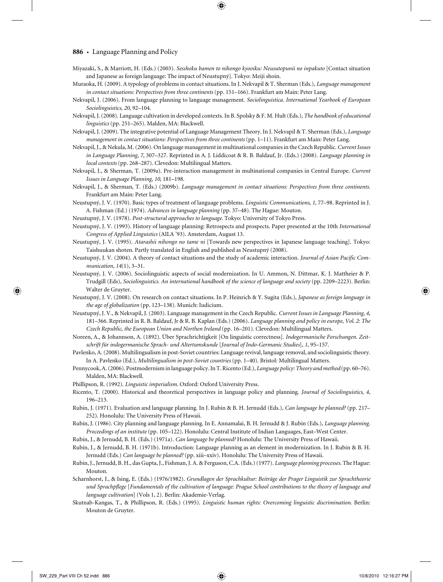- Miyazaki, S., & Marriott, H. (Eds.) (2003). *Sesshoku bamen to nihongo kyooiku: Neusutopunii no inpakuto* [Contact situation and Japanese as foreign language: The impact of Neustupný]. Tokyo: Meiji shoin.
- Muraoka, H. (2009). A typology of problems in contact situations. In J. Nekvapil & T. Sherman (Eds.), *Language management in contact situations: Perspectives from three continents* (pp. 151-166). Frankfurt am Main: Peter Lang.
- Nekvapil, J. (2006). From language planning to language management. *Sociolinguistica. International Yearbook of European Sociolinguistics*, *20*, 92–104.
- Nekvapil, J. (2008). Language cultivation in developed contexts. In B. Spolsky & F. M. Hult (Eds.), *The handbook of educational linguistics* (pp. 251–265). Malden, MA: Blackwell.
- Nekvapil, J. (2009). The integrative potential of Language Management Theory. In J. Nekvapil & T. Sherman (Eds.), *Language management in contact situations: Perspectives from three continents* (pp. 1–11). Frankfurt am Main: Peter Lang.
- Nekvapil, J., & Nekula, M. (2006). On language management in multinational companies in the Czech Republic. *Current Issues in Language Planning*, *7*, 307–327. Reprinted in A. J. Liddicoat & R. B. Baldauf, Jr. (Eds.) (2008). *Language planning in local contexts* (pp. 268–287). Clevedon: Multilingual Matters.
- Nekvapil, J., & Sherman, T. (2009a). Pre-interaction management in multinational companies in Central Europe. *Current Issues in Language Planning*, *10*, 181–198.
- Nekvapil, J., & Sherman, T. (Eds.) (2009b). *Language management in contact situations: Perspectives from three continents*. Frankfurt am Main: Peter Lang.
- Neustupný, J. V. (1970). Basic types of treatment of language problems. *Linguistic Communications*, *1*, 77–98. Reprinted in J. A. Fishman (Ed.) (1974). *Advances in language planning* (pp. 37–48). The Hague: Mouton.
- Neustupný, J. V. (1978). *Post-structural approaches to language*. Tokyo: University of Tokyo Press.
- Neustupný, J. V. (1993). History of language planning: Retrospects and prospects. Paper presented at the 10th *International Congress of Applied Linguistics* (AILA '93). Amsterdam, August 13.
- Neustupný, J. V. (1995). *Atarashii nihongo no tame ni* [Towards new perspectives in Japanese language teaching]. Tokyo: Taishuukan shoten. Partly translated in English and published as Neustupný (2008).
- Neustupný, J. V. (2004). A theory of contact situations and the study of academic interaction. *Journal of Asian Pacific Communication*, *14*(1), 3–31.
- Neustupný, J. V. (2006). Sociolinguistic aspects of social modernization. In U. Ammon, N. Dittmar, K. J. Mattheier & P. Trudgill (Eds), *Sociolinguistics. An international handbook of the science of language and society* (pp. 2209–2223). Berlin: Walter de Gruyter.
- Neustupný, J. V. (2008). On research on contact situations. In P. Heinrich & Y. Sugita (Eds.), *Japanese as foreign language in the age of globalization* (pp. 123–138). Munich: Iudicium.
- Neustupný, J. V., & Nekvapil, J. (2003). Language management in the Czech Republic. *Current Issues in Language Planning*, *4*, 181–366. Reprinted in R. B. Baldauf, Jr & R. B. Kaplan (Eds.) (2006). *Language planning and policy in europe, Vol. 2*: *The Czech Republic, the European Union and Northen Ireland* (pp. 16–201). Clevedon: Multilingual Matters.
- Noreen, A., & Johannson, A. (1892). Über Sprachrichtigkeit [On linguistic correctness]. *Indogermanische Forschungen. Zeitschrift für indogermanische Sprach- und Altertumskunde* [*Journal of Indo-Germanic Studies*], *1*, 95–157.
- Pavlenko, A. (2008). Multilingualism in post-Soviet countries: Language revival, language removal, and sociolinguistic theory. In A. Pavlenko (Ed.), *Multilingualism in post-Soviet countries* (pp. 1–40). Bristol: Multilingual Matters.
- Pennycook, A. (2006). Postmodernism in language policy. In T. Ricento (Ed.), *Language policy: Theory and method* (pp. 60–76). Malden, MA: Blackwell.
- Phillipson, R. (1992). *Linguistic imperialism*. Oxford: Oxford University Press.
- Ricento, T. (2000). Historical and theoretical perspectives in language policy and planning. *Journal of Sociolinguistics*, *4*, 196–213.
- Rubin, J. (1971). Evaluation and language planning. In J. Rubin & B. H. Jernudd (Eds.), *Can language be planned?* (pp. 217– 252). Honolulu: The University Press of Hawaii.
- Rubin, J. (1986). City planning and language planning. In E. Annamalai, B. H. Jernudd & J. Rubin (Eds.), *Language planning. Proceedings of an institute* (pp. 105–122). Honolulu: Central Institute of Indian Languages, East–West Center.
- Rubin, J., & Jernudd, B. H. (Eds.) (1971a). *Can language be planned?* Honolulu: The University Press of Hawaii.
- Rubin, J., & Jernudd, B. H. (1971b). Introduction: Language planning as an element in modernization. In J. Rubin & B. H. Jernudd (Eds.) *Can language be planned?* (pp. xiii–xxiv). Honolulu: The University Press of Hawaii.
- Rubin, J., Jernudd, B. H., das Gupta, J., Fishman, J. A. & Ferguson, C.A. (Eds.) (1977). *Language planning processes*. The Hague: Mouton.
- Scharnhorst, J., & Ising, E. (Eds.) (1976/1982). *Grundlagen der Sprachkultur: Beiträge der Prager Linguistik zur Sprachtheorie und Sprachpflege* [*Fundamentals of the cultivation of language: Prague School contributions to the theory of language and language cultivation*] (Vols 1, 2). Berlin: Akademie-Verlag.
- Skutnab-Kangas, T., & Phillipson, R. (Eds.) (1995). *Linguistic human rights: Overcoming linguistic discrimination*. Berlin: Mouton de Gruyter.